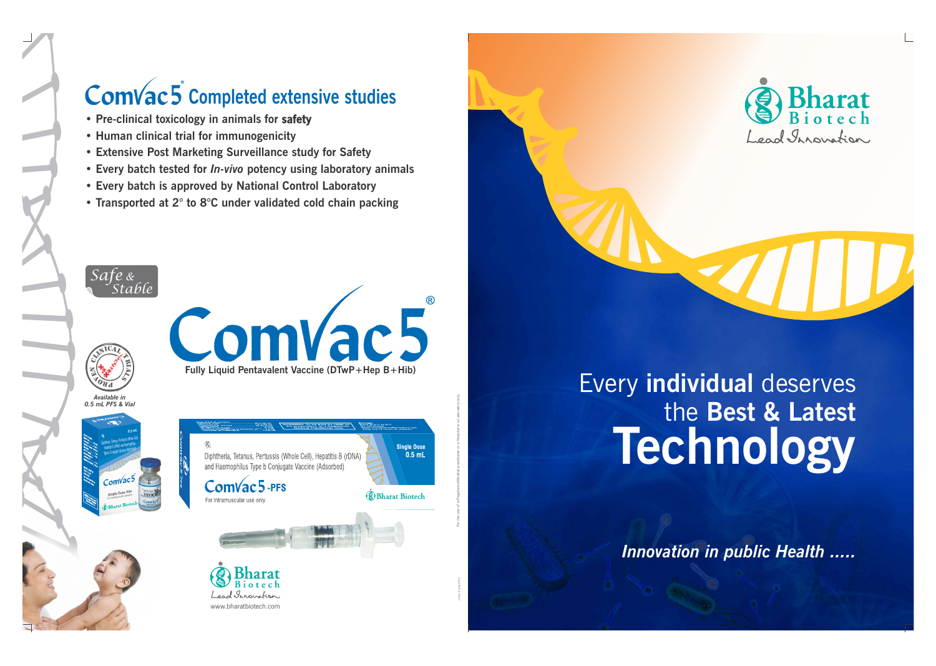





*Innovation in public Health .....*



## Comvac<sub>5</sub> completed extensive studies

- **Pre-clinical toxicology in animals for safety**
- **Human clinical trial for immunogenicity**
- **Extensive Post Marketing Surveillance study for Safety**
- **Every batch tested for** *In-vivo* **potency using laboratory animals**
- **Every batch is approved by National Control Laboratory**
- **Transported at 2° to 8°C under validated cold chain packing**